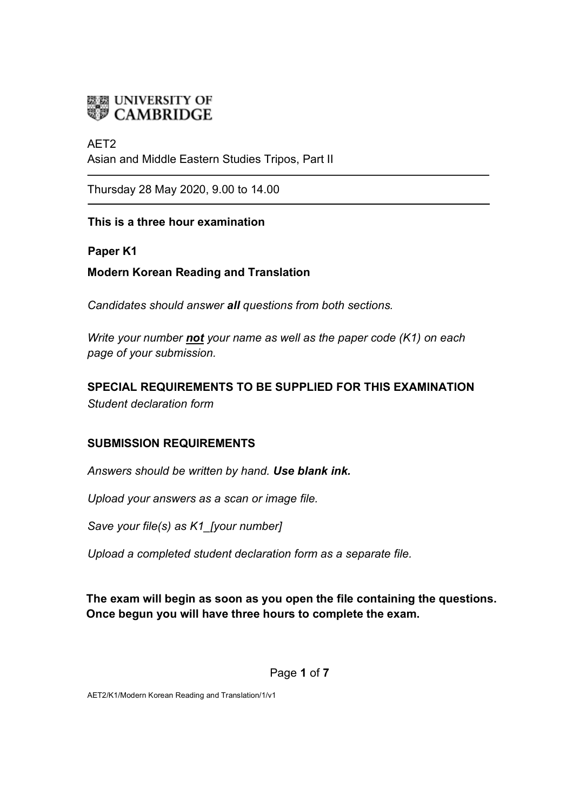

## AET2 Asian and Middle Eastern Studies Tripos, Part II

Thursday 28 May 2020, 9.00 to 14.00

### **This is a three hour examination**

#### **Paper K1**

**Modern Korean Reading and Translation**

*Candidates should answer all questions from both sections.*

*Write your number not your name as well as the paper code (K1) on each page of your submission.* 

## **SPECIAL REQUIREMENTS TO BE SUPPLIED FOR THIS EXAMINATION** *Student declaration form*

## **SUBMISSION REQUIREMENTS**

*Answers should be written by hand. Use blank ink.*

*Upload your answers as a scan or image file.* 

*Save your file(s) as K1\_[your number]* 

*Upload a completed student declaration form as a separate file.* 

## **The exam will begin as soon as you open the file containing the questions. Once begun you will have three hours to complete the exam.**

#### Page **1** of **7**

AET2/K1/Modern Korean Reading and Translation/1/v1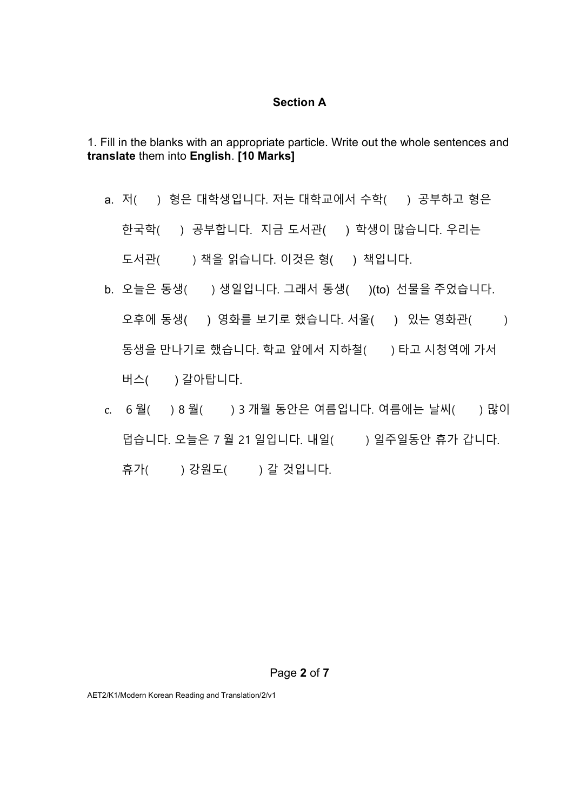#### **Section A**

1. Fill in the blanks with an appropriate particle. Write out the whole sentences and **translate** them into **English**. **[10 Marks]**

a. 저( ) 형은 대학생입니다. 저는 대학교에서 수학( ) 공부하고 형은

한국학( ) 공부합니다. 지금 도서관( ) 학생이 많습니다. 우리는

도서관( ) 책을 읽습니다. 이것은 형( ) 책입니다.

- b. 오늘은 동생( ) 생일입니다. 그래서 동생( )(to) 선물을 주었습니다. 오후에 동생() 영화를 보기로 했습니다. 서울() 있는 영화관() 동생을 만나기로 했습니다. 학교 앞에서 지하철() 아타고 시청역에 가서 버스( ) 갈아탑니다.
- c. 6 월( ) 8 월( ) 3 개월 동안은 여름입니다. 여름에는 날씨( ) 많이 덥습니다. 오늘은 7 월 21 일입니다. 내일( ) 일주일동안 휴가 갑니다. 휴가( ) 강원도( ) 갈 것입니다.

#### Page **2** of **7**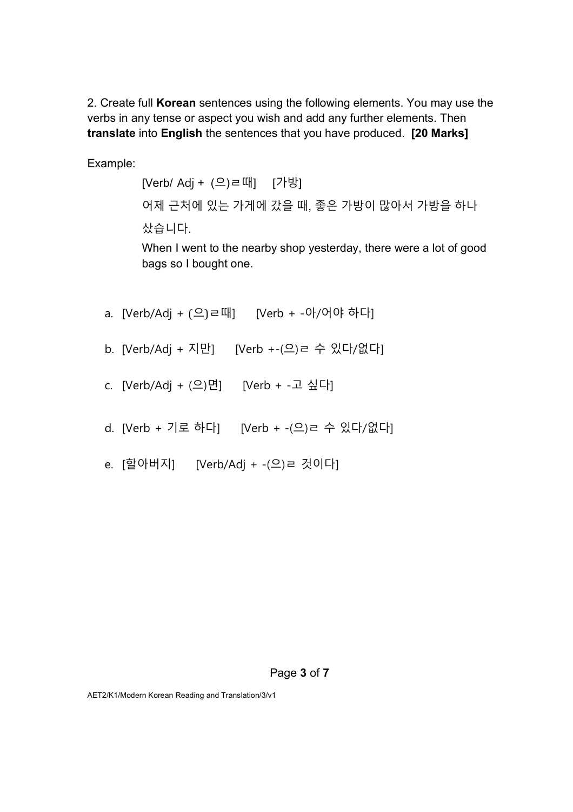2. Create full **Korean** sentences using the following elements. You may use the verbs in any tense or aspect you wish and add any further elements. Then **translate** into **English** the sentences that you have produced. **[20 Marks]**

Example:

[Verb/ Adj + (으)ㄹ때] [가방] 어제 근처에 있는 가게에 갔을 때, 좋은 가방이 많아서 가방을 하나 샀습니다.

When I went to the nearby shop yesterday, there were a lot of good bags so I bought one.

- a. [Verb/Adj + (으)ㄹ때] [Verb + -아/어야 하다]
- b. [Verb/Adj + 지만] [Verb +-(으)ㄹ 수 있다/없다]
- c. [Verb/Adj + (으)면] [Verb + -고 싶다]
- d. [Verb + 기로 하다] [Verb + -(으)ㄹ 수 있다/없다]
- e. [할아버지] [Verb/Adj + -(으)ㄹ 것이다]

#### Page **3** of **7**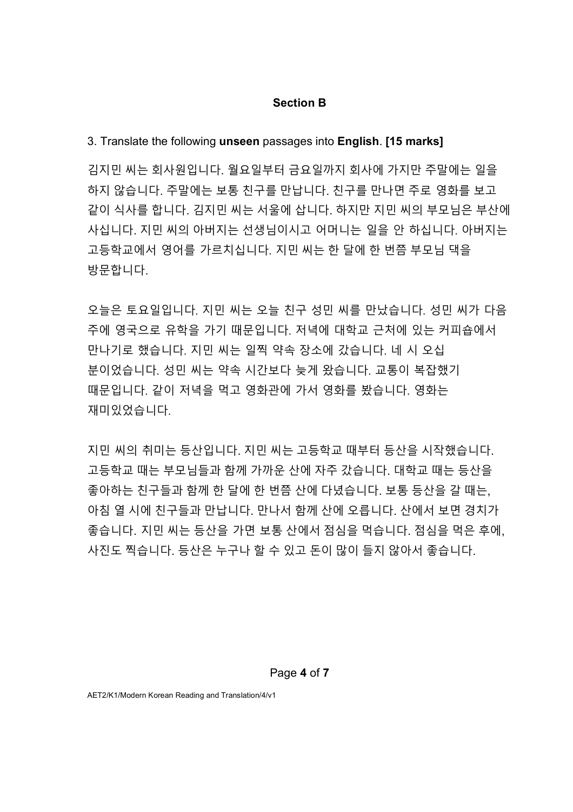#### **Section B**

#### 3. Translate the following **unseen** passages into **English**. **[15 marks]**

김지민 씨는 회사원입니다. 월요일부터 금요일까지 회사에 가지만 주말에는 일을 하지 않습니다. 주말에는 보통 친구를 만납니다. 친구를 만나면 주로 영화를 보고 같이 식사를 합니다. 김지민 씨는 서울에 삽니다. 하지만 지민 씨의 부모님은 부산에 사십니다. 지민 씨의 아버지는 선생님이시고 어머니는 일을 안 하십니다. 아버지는 고등학교에서 영어를 가르치십니다. 지민 씨는 한 달에 한 번쯤 부모님 댁을 방문합니다.

오늘은 토요일입니다. 지민 씨는 오늘 친구 성민 씨를 만났습니다. 성민 씨가 다음 주에 영국으로 유학을 가기 때문입니다. 저녁에 대학교 근처에 있는 커피숍에서 만나기로 했습니다. 지민 씨는 일찍 약속 장소에 갔습니다. 네 시 오십 분이었습니다. 성민 씨는 약속 시간보다 늦게 왔습니다. 교통이 복잡했기 때문입니다. 같이 저녁을 먹고 영화관에 가서 영화를 봤습니다. 영화는 재미있었습니다.

지민 씨의 취미는 등산입니다. 지민 씨는 고등학교 때부터 등산을 시작했습니다. 고등학교 때는 부모님들과 함께 가까운 산에 자주 갔습니다. 대학교 때는 등산을 좋아하는 친구들과 함께 한 달에 한 번쯤 산에 다녔습니다. 보통 등산을 갈 때는, 아침 열 시에 친구들과 만납니다. 만나서 함께 산에 오릅니다. 산에서 보면 경치가 좋습니다. 지민 씨는 등산을 가면 보통 산에서 점심을 먹습니다. 점심을 먹은 후에, 사진도 찍습니다. 등산은 누구나 할 수 있고 돈이 많이 들지 않아서 좋습니다.

Page **4** of **7**

AET2/K1/Modern Korean Reading and Translation/4/v1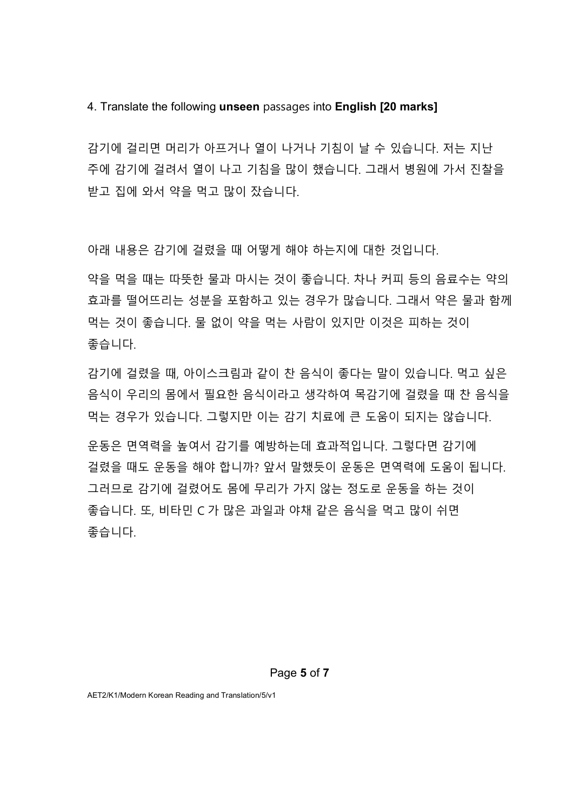4. Translate the following **unseen** passages into **English [20 marks]**

감기에 걸리면 머리가 아프거나 열이 나거나 기침이 날 수 있습니다. 저는 지난 주에 감기에 걸려서 열이 나고 기침을 많이 했습니다. 그래서 병원에 가서 진찰을 받고 집에 와서 약을 먹고 많이 잤습니다.

아래 내용은 감기에 걸렸을 때 어떻게 해야 하는지에 대한 것입니다.

약을 먹을 때는 따뜻한 물과 마시는 것이 좋습니다. 차나 커피 등의 음료수는 약의 효과를 떨어뜨리는 성분을 포함하고 있는 경우가 많습니다. 그래서 약은 물과 함께 먹는 것이 좋습니다. 물 없이 약을 먹는 사람이 있지만 이것은 피하는 것이 좋습니다.

감기에 걸렸을 때, 아이스크림과 같이 찬 음식이 좋다는 말이 있습니다. 먹고 싶은 음식이 우리의 몸에서 필요한 음식이라고 생각하여 목감기에 걸렸을 때 찬 음식을 먹는 경우가 있습니다. 그렇지만 이는 감기 치료에 큰 도움이 되지는 않습니다.

운동은 면역력을 높여서 감기를 예방하는데 효과적입니다. 그렇다면 감기에 걸렸을 때도 운동을 해야 합니까? 앞서 말했듯이 운동은 면역력에 도움이 됩니다. 그러므로 감기에 걸렸어도 몸에 무리가 가지 않는 정도로 운동을 하는 것이 좋습니다. 또, 비타민 C 가 많은 과일과 야채 같은 음식을 먹고 많이 쉬면 좋습니다.

Page **5** of **7**

AET2/K1/Modern Korean Reading and Translation/5/v1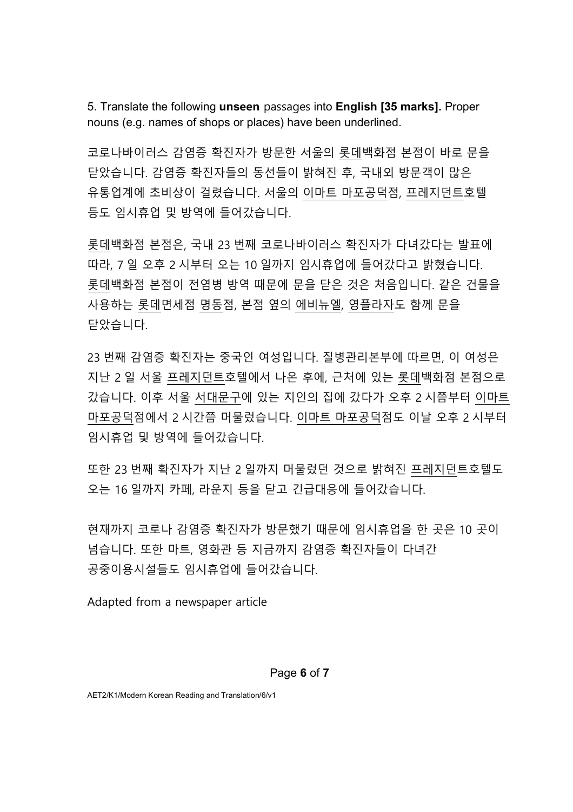5. Translate the following **unseen** passages into **English [35 marks].** Proper nouns (e.g. names of shops or places) have been underlined.

코로나바이러스 감염증 확진자가 방문한 서울의 롯데백화점 본점이 바로 문을 닫았습니다. 감염증 확진자들의 동선들이 밝혀진 후, 국내외 방문객이 많은 유통업계에 초비상이 걸렸습니다. 서울의 이마트 마포공덕점, 프레지던트호텔 등도 임시휴업 및 방역에 들어갔습니다.

롯데백화점 본점은, 국내 23 번째 코로나바이러스 확진자가 다녀갔다는 발표에 따라, 7 일 오후 2 시부터 오는 10 일까지 임시휴업에 들어갔다고 밝혔습니다. 롯데백화점 본점이 전염병 방역 때문에 문을 닫은 것은 처음입니다. 같은 건물을 사용하는 롯데면세점 명동점, 본점 옆의 에비뉴엘, 영플라자도 함께 문을 닫았습니다.

23 번째 감염증 확진자는 중국인 여성입니다. 질병관리본부에 따르면, 이 여성은 지난 2 일 서울 프레지던트호텔에서 나온 후에, 근처에 있는 롯데백화점 본점으로 갔습니다. 이후 서울 서대문구에 있는 지인의 집에 갔다가 오후 2 시쯤부터 이마트 마포공덕점에서 2 시간쯤 머물렀습니다. 이마트 마포공덕점도 이날 오후 2 시부터 임시휴업 및 방역에 들어갔습니다.

또한 23 번째 확진자가 지난 2 일까지 머물렀던 것으로 밝혀진 프레지던트호텔도 오는 16 일까지 카페, 라운지 등을 닫고 긴급대응에 들어갔습니다.

현재까지 코로나 감염증 확진자가 방문했기 때문에 임시휴업을 한 곳은 10 곳이 넘습니다. 또한 마트, 영화관 등 지금까지 감염증 확진자들이 다녀간 공중이용시설들도 임시휴업에 들어갔습니다.

Adapted from a newspaper article

#### Page **6** of **7**